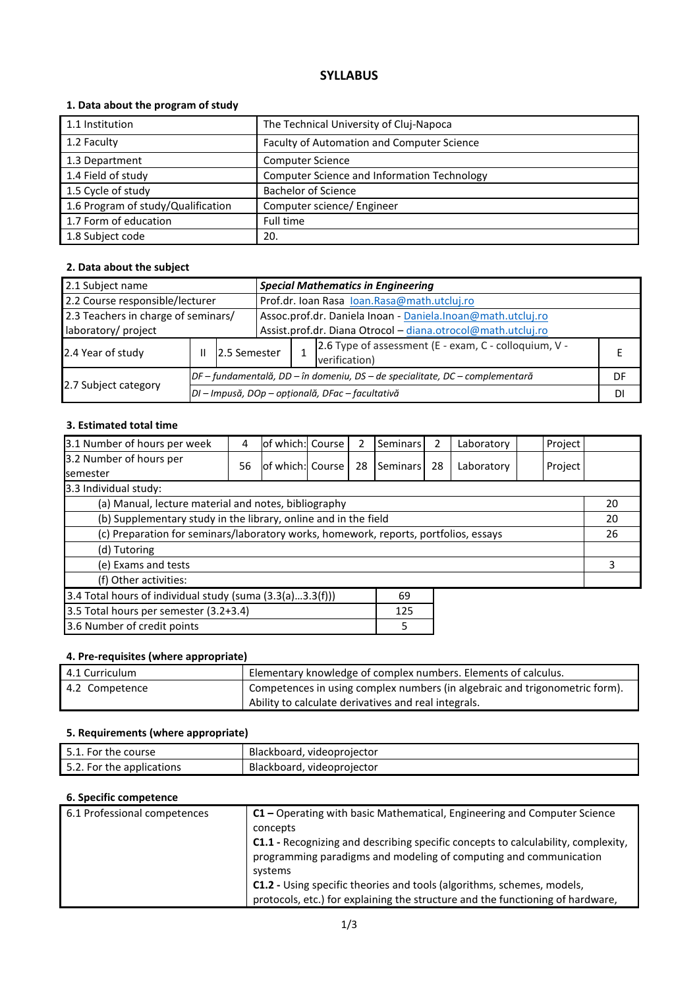# **SYLLABUS**

# **1. Data about the program of study**

| 1.1 Institution                    | The Technical University of Cluj-Napoca     |
|------------------------------------|---------------------------------------------|
| 1.2 Faculty                        | Faculty of Automation and Computer Science  |
| 1.3 Department                     | <b>Computer Science</b>                     |
| 1.4 Field of study                 | Computer Science and Information Technology |
| 1.5 Cycle of study                 | <b>Bachelor of Science</b>                  |
| 1.6 Program of study/Qualification | Computer science/ Engineer                  |
| 1.7 Form of education              | Full time                                   |
| 1.8 Subject code                   | 20.                                         |

# **2. Data about the subject**

| 2.1 Subject name                                           |   |                                                  |                                                                                                                             | <b>Special Mathematics in Engineering</b> |                                                                              |    |
|------------------------------------------------------------|---|--------------------------------------------------|-----------------------------------------------------------------------------------------------------------------------------|-------------------------------------------|------------------------------------------------------------------------------|----|
| 2.2 Course responsible/lecturer                            |   |                                                  | Prof.dr. Ioan Rasa Ioan.Rasa@math.utcluj.ro                                                                                 |                                           |                                                                              |    |
| 2.3 Teachers in charge of seminars/<br>laboratory/ project |   |                                                  | Assoc.prof.dr. Daniela Inoan - Daniela.Inoan@math.utcluj.ro<br>Assist.prof.dr. Diana Otrocol - diana.otrocol@math.utcluj.ro |                                           |                                                                              |    |
| 2.4 Year of study                                          | Ш | 12.5 Semester                                    | 2.6 Type of assessment (E - exam, C - colloquium, V -<br>verification)                                                      |                                           |                                                                              |    |
|                                                            |   |                                                  |                                                                                                                             |                                           | DF – fundamentală, DD – în domeniu, DS – de specialitate, DC – complementară | DF |
| 2.7 Subject category                                       |   | DI - Impusă, DOp - opțională, DFac - facultativă |                                                                                                                             |                                           |                                                                              | DI |

#### **3. Estimated total time**

| 3.1 Number of hours per week                                                         | 4  | lof which:l Course |  | 2  | Seminars | 2  | Laboratory | Project |  |
|--------------------------------------------------------------------------------------|----|--------------------|--|----|----------|----|------------|---------|--|
| 3.2 Number of hours per<br><b>semester</b>                                           | 56 | of which: Course   |  | 28 | Seminars | 28 | Laboratory | Project |  |
| 3.3 Individual study:                                                                |    |                    |  |    |          |    |            |         |  |
| (a) Manual, lecture material and notes, bibliography                                 |    |                    |  |    |          |    |            | 20      |  |
| (b) Supplementary study in the library, online and in the field                      |    |                    |  |    |          |    | 20         |         |  |
| (c) Preparation for seminars/laboratory works, homework, reports, portfolios, essays |    |                    |  |    |          |    | 26         |         |  |
| (d) Tutoring                                                                         |    |                    |  |    |          |    |            |         |  |
| (e) Exams and tests                                                                  |    |                    |  |    |          |    | 3          |         |  |
| (f) Other activities:                                                                |    |                    |  |    |          |    |            |         |  |
| 3.4 Total hours of individual study (suma (3.3(a)3.3(f)))<br>69                      |    |                    |  |    |          |    |            |         |  |
| 3.5 Total hours per semester (3.2+3.4)                                               |    |                    |  |    | 125      |    |            |         |  |
| 3.6 Number of credit points                                                          |    |                    |  |    | 5        |    |            |         |  |

# **4. Pre-requisites (where appropriate)**

| l 4.1 Curriculum | Elementary knowledge of complex numbers. Elements of calculus.              |
|------------------|-----------------------------------------------------------------------------|
| 4.2 Competence   | Competences in using complex numbers (in algebraic and trigonometric form). |
|                  | Ability to calculate derivatives and real integrals.                        |

# **5. Requirements (where appropriate)**

| -51<br>For the course     | Blackboard, videoprojector |
|---------------------------|----------------------------|
| 5.2. For the applications | Blackboard, videoprojector |

# **6. Specific competence**

| 6.1 Professional competences | C1 – Operating with basic Mathematical, Engineering and Computer Science          |
|------------------------------|-----------------------------------------------------------------------------------|
|                              | concepts                                                                          |
|                              | C1.1 - Recognizing and describing specific concepts to calculability, complexity, |
|                              | programming paradigms and modeling of computing and communication                 |
|                              | systems                                                                           |
|                              | C1.2 - Using specific theories and tools (algorithms, schemes, models,            |
|                              | protocols, etc.) for explaining the structure and the functioning of hardware,    |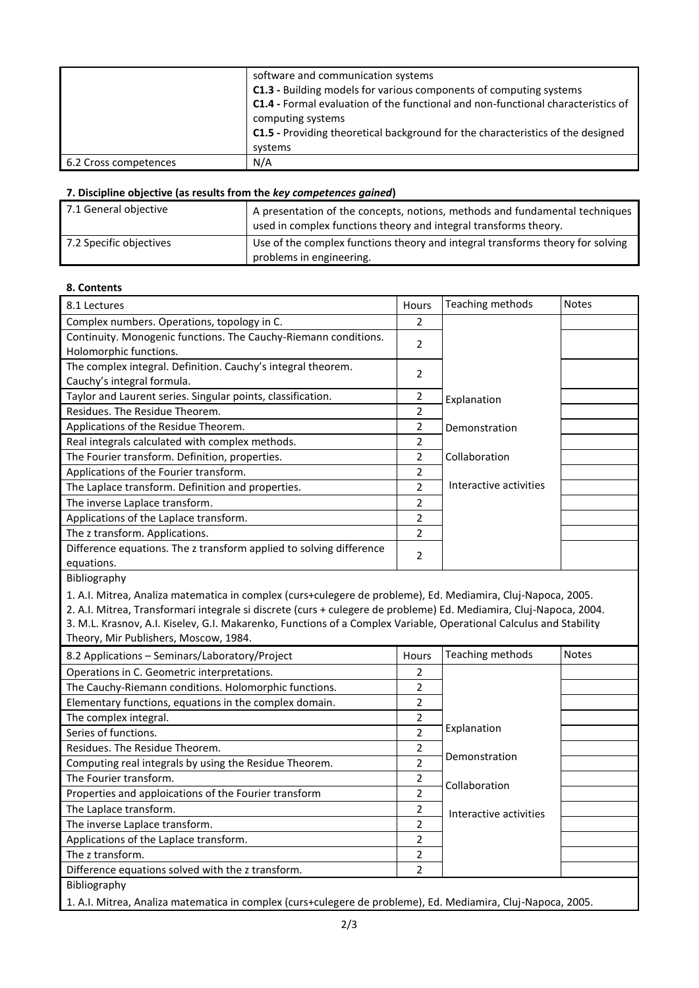|                       | software and communication systems<br>C1.3 - Building models for various components of computing systems<br>C1.4 - Formal evaluation of the functional and non-functional characteristics of<br>computing systems<br>C1.5 - Providing theoretical background for the characteristics of the designed |
|-----------------------|------------------------------------------------------------------------------------------------------------------------------------------------------------------------------------------------------------------------------------------------------------------------------------------------------|
|                       | systems                                                                                                                                                                                                                                                                                              |
| 6.2 Cross competences | N/A                                                                                                                                                                                                                                                                                                  |

#### **7. Discipline objective (as results from the** *key competences gained***)**

| 7.1 General objective   | A presentation of the concepts, notions, methods and fundamental techniques<br>used in complex functions theory and integral transforms theory. |
|-------------------------|-------------------------------------------------------------------------------------------------------------------------------------------------|
| 7.2 Specific objectives | Use of the complex functions theory and integral transforms theory for solving<br>problems in engineering.                                      |

#### **8. Contents**

| 8.1 Lectures                                                        | Hours                    | Teaching methods       | <b>Notes</b> |
|---------------------------------------------------------------------|--------------------------|------------------------|--------------|
| Complex numbers. Operations, topology in C.                         | 2                        |                        |              |
| Continuity. Monogenic functions. The Cauchy-Riemann conditions.     | $\mathfrak{p}$           |                        |              |
| Holomorphic functions.                                              |                          |                        |              |
| The complex integral. Definition. Cauchy's integral theorem.        | 2                        |                        |              |
| Cauchy's integral formula.                                          |                          |                        |              |
| Taylor and Laurent series. Singular points, classification.         | 2                        | Explanation            |              |
| Residues. The Residue Theorem.                                      | 2                        |                        |              |
| Applications of the Residue Theorem.                                | 2                        | Demonstration          |              |
| Real integrals calculated with complex methods.                     | 2                        |                        |              |
| The Fourier transform. Definition, properties.                      | 2                        | Collaboration          |              |
| Applications of the Fourier transform.                              | 2                        |                        |              |
| The Laplace transform. Definition and properties.                   | $\mathfrak{p}$           | Interactive activities |              |
| The inverse Laplace transform.                                      | 2                        |                        |              |
| Applications of the Laplace transform.                              | $\overline{\phantom{a}}$ |                        |              |
| The z transform. Applications.                                      | 2                        |                        |              |
| Difference equations. The z transform applied to solving difference |                          |                        |              |
| equations.                                                          | 2                        |                        |              |
| Bibliography                                                        |                          |                        |              |

1. A.I. Mitrea, Analiza matematica in complex (curs+culegere de probleme), Ed. Mediamira, Cluj-Napoca, 2005.

2. A.I. Mitrea, Transformari integrale si discrete (curs + culegere de probleme) Ed. Mediamira, Cluj-Napoca, 2004. 3. M.L. Krasnov, A.I. Kiselev, G.I. Makarenko, Functions of a Complex Variable, Operational Calculus and Stability Theory, Mir Publishers, Moscow, 1984.

| 8.2 Applications - Seminars/Laboratory/Project         | <b>Hours</b>             | Teaching methods       | <b>Notes</b> |
|--------------------------------------------------------|--------------------------|------------------------|--------------|
| Operations in C. Geometric interpretations.            | 2                        |                        |              |
| The Cauchy-Riemann conditions. Holomorphic functions.  | 2                        |                        |              |
| Elementary functions, equations in the complex domain. | 2                        |                        |              |
| The complex integral.                                  | 2                        |                        |              |
| Series of functions.                                   | $\mathfrak{p}$           | Explanation            |              |
| Residues. The Residue Theorem.                         | 2                        |                        |              |
| Computing real integrals by using the Residue Theorem. | 2                        | Demonstration          |              |
| The Fourier transform.                                 |                          | Collaboration          |              |
| Properties and apploications of the Fourier transform  | $\overline{\phantom{a}}$ |                        |              |
| The Laplace transform.                                 | 2                        | Interactive activities |              |
| The inverse Laplace transform.                         | 2                        |                        |              |
| Applications of the Laplace transform.                 | 2                        |                        |              |
| The z transform.                                       | $\overline{\phantom{a}}$ |                        |              |
| Difference equations solved with the z transform.      | $\mathfrak{p}$           |                        |              |
| Bibliography                                           |                          |                        |              |
|                                                        |                          |                        |              |

1. A.I. Mitrea, Analiza matematica in complex (curs+culegere de probleme), Ed. Mediamira, Cluj-Napoca, 2005.